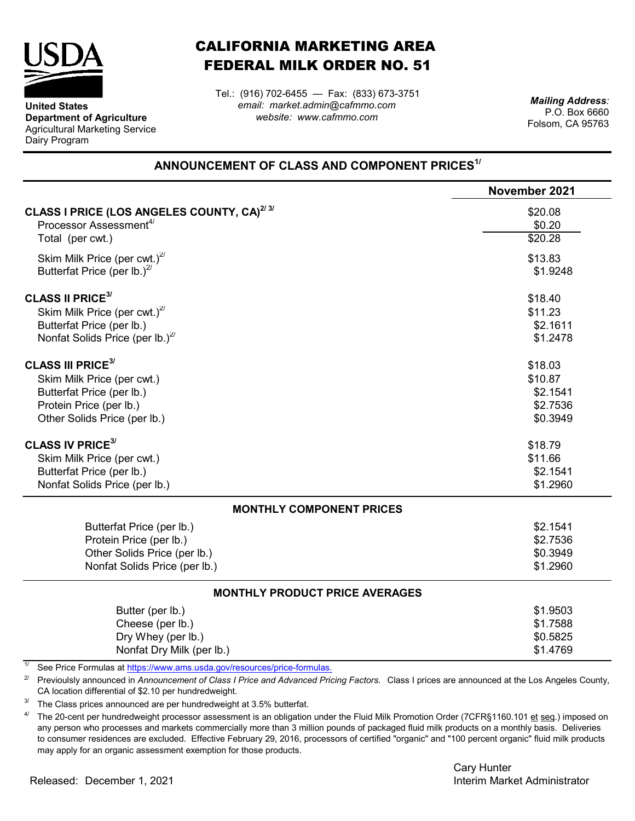

**United States**

Dairy Program

**Department of Agriculture** Agricultural Marketing Service

## CALIFORNIA MARKETING AREA FEDERAL MILK ORDER NO. 51

*email: market.admin@cafmmo.com website: www.cafmmo.com* Tel.: (916) 702-6455 — Fax: (833) 673-3751

*Mailing Address:* P.O. Box 6660 Folsom, CA 95763

## **ANNOUNCEMENT OF CLASS AND COMPONENT PRICES1/**

|                                                                          | November 2021 |
|--------------------------------------------------------------------------|---------------|
| CLASS I PRICE (LOS ANGELES COUNTY, CA) <sup>2/3/</sup>                   | \$20.08       |
| Processor Assessment <sup>4/</sup>                                       | \$0.20        |
| Total (per cwt.)                                                         | \$20.28       |
| Skim Milk Price (per cwt.) $^{27}$                                       | \$13.83       |
| Butterfat Price (per lb.) $^{27}$                                        | \$1.9248      |
| <b>CLASS II PRICE<sup>3/</sup></b>                                       | \$18.40       |
| Skim Milk Price (per cwt.) $^{27}$                                       | \$11.23       |
| Butterfat Price (per lb.)                                                | \$2.1611      |
| Nonfat Solids Price (per lb.) $^{27}$                                    | \$1.2478      |
| <b>CLASS III PRICE<sup>3/</sup></b>                                      | \$18.03       |
| Skim Milk Price (per cwt.)                                               | \$10.87       |
| Butterfat Price (per lb.)                                                | \$2.1541      |
| Protein Price (per lb.)                                                  | \$2.7536      |
| Other Solids Price (per lb.)                                             | \$0.3949      |
| <b>CLASS IV PRICE<sup>3/</sup></b>                                       | \$18.79       |
| Skim Milk Price (per cwt.)                                               | \$11.66       |
| Butterfat Price (per lb.)                                                | \$2.1541      |
| Nonfat Solids Price (per lb.)                                            | \$1.2960      |
| <b>MONTHLY COMPONENT PRICES</b>                                          |               |
| Butterfat Price (per lb.)                                                | \$2.1541      |
| Protein Price (per lb.)                                                  | \$2.7536      |
| Other Solids Price (per lb.)                                             | \$0.3949      |
| Nonfat Solids Price (per lb.)                                            | \$1.2960      |
| <b>MONTHLY PRODUCT PRICE AVERAGES</b>                                    |               |
| Butter (per lb.)                                                         | \$1.9503      |
| Cheese (per lb.)                                                         | \$1.7588      |
| Dry Whey (per lb.)                                                       | \$0.5825      |
| Nonfat Dry Milk (per lb.)                                                | \$1.4769      |
| See Price Formulas at https://www.ams.usda.gov/resources/price-formulas. |               |

2/ Previoulsly announced in *Announcement of Class I Price and Advanced Pricing Factors.* Class I prices are announced at the Los Angeles County, CA location differential of \$2.10 per hundredweight.

3/ The Class prices announced are per hundredweight at 3.5% butterfat.

4/ The 20-cent per hundredweight processor assessment is an obligation under the Fluid Milk Promotion Order (7CFR§1160.101 et seq.) imposed on any person who processes and markets commercially more than 3 million pounds of packaged fluid milk products on a monthly basis. Deliveries to consumer residences are excluded. Effective February 29, 2016, processors of certified "organic" and "100 percent organic" fluid milk products may apply for an organic assessment exemption for those products.